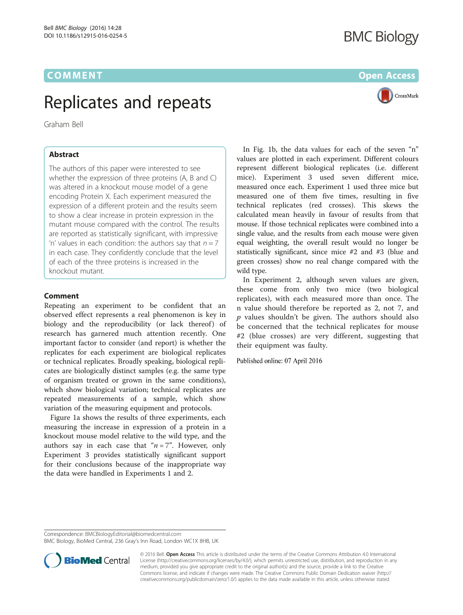## Replicates and repeats

Graham Bell

## **Abstract**

The authors of this paper were interested to see whether the expression of three proteins (A, B and C) was altered in a knockout mouse model of a gene encoding Protein X. Each experiment measured the expression of a different protein and the results seem to show a clear increase in protein expression in the mutant mouse compared with the control. The results are reported as statistically significant, with impressive 'n' values in each condition: the authors say that  $n = 7$ in each case. They confidently conclude that the level of each of the three proteins is increased in the knockout mutant.

## **Comment**

Repeating an experiment to be confident that an observed effect represents a real phenomenon is key in biology and the reproducibility (or lack thereof) of research has garnered much attention recently. One important factor to consider (and report) is whether the replicates for each experiment are biological replicates or technical replicates. Broadly speaking, biological replicates are biologically distinct samples (e.g. the same type of organism treated or grown in the same conditions), which show biological variation; technical replicates are repeated measurements of a sample, which show variation of the measuring equipment and protocols.

Figure [1a](#page-1-0) shows the results of three experiments, each measuring the increase in expression of a protein in a knockout mouse model relative to the wild type, and the authors say in each case that " $n = 7$ ". However, only Experiment 3 provides statistically significant support for their conclusions because of the inappropriate way the data were handled in Experiments 1 and 2.

**BMC Biology** 



In Fig. [1b,](#page-1-0) the data values for each of the seven "n" values are plotted in each experiment. Different colours represent different biological replicates (i.e. different mice). Experiment 3 used seven different mice, measured once each. Experiment 1 used three mice but measured one of them five times, resulting in five technical replicates (red crosses). This skews the calculated mean heavily in favour of results from that mouse. If those technical replicates were combined into a single value, and the results from each mouse were given equal weighting, the overall result would no longer be statistically significant, since mice #2 and #3 (blue and green crosses) show no real change compared with the wild type.

In Experiment 2, although seven values are given, these come from only two mice (two biological replicates), with each measured more than once. The n value should therefore be reported as 2, not 7, and  $p$  values shouldn't be given. The authors should also be concerned that the technical replicates for mouse #2 (blue crosses) are very different, suggesting that their equipment was faulty.

Published online: 07 April 2016

Correspondence: [BMCBiologyEditorial@biomedcentral.com](mailto:BMCBiologyEditorial@biomedcentral.com)

BMC Biology, BioMed Central, 236 Gray's Inn Road, London WC1X 8HB, UK



© 2016 Bell. Open Access This article is distributed under the terms of the Creative Commons Attribution 4.0 International License ([http://creativecommons.org/licenses/by/4.0/\)](http://creativecommons.org/licenses/by/4.0/), which permits unrestricted use, distribution, and reproduction in any medium, provided you give appropriate credit to the original author(s) and the source, provide a link to the Creative Commons license, and indicate if changes were made. The Creative Commons Public Domain Dedication waiver ([http://](http://creativecommons.org/publicdomain/zero/1.0/) [creativecommons.org/publicdomain/zero/1.0/\)](http://creativecommons.org/publicdomain/zero/1.0/) applies to the data made available in this article, unless otherwise stated.